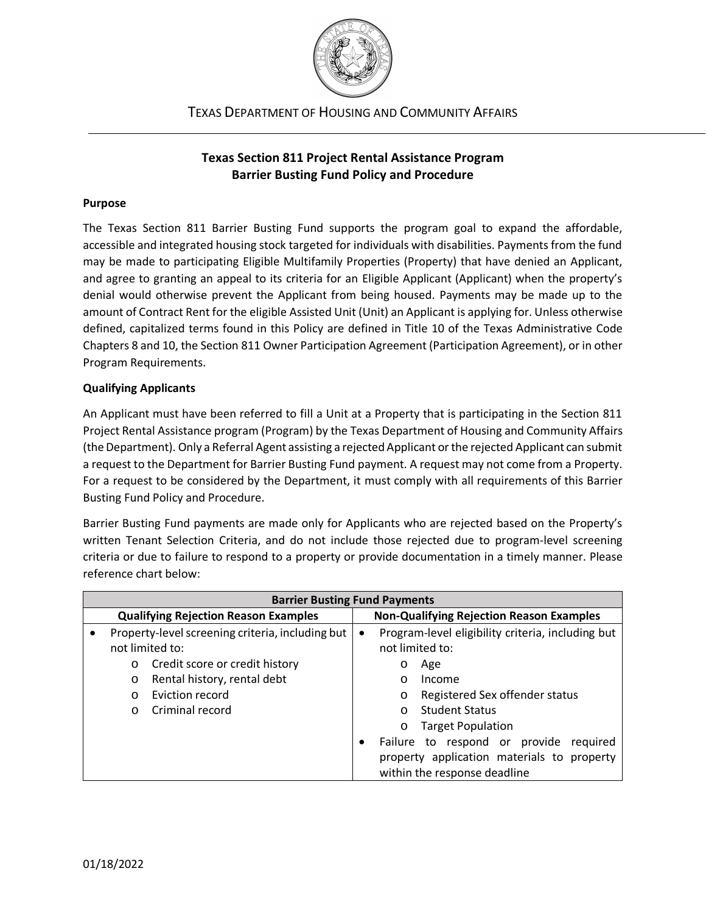

TEXAS DEPARTMENT OF HOUSING AND COMMUNITY AFFAIRS

### **Texas Section 811 Project Rental Assistance Program Barrier Busting Fund Policy and Procedure**

#### **Purpose**

The Texas Section 811 Barrier Busting Fund supports the program goal to expand the affordable, accessible and integrated housing stock targeted for individuals with disabilities. Payments from the fund may be made to participating Eligible Multifamily Properties (Property) that have denied an Applicant, and agree to granting an appeal to its criteria for an Eligible Applicant (Applicant) when the property's denial would otherwise prevent the Applicant from being housed. Payments may be made up to the amount of Contract Rent for the eligible Assisted Unit (Unit) an Applicant is applying for. Unless otherwise defined, capitalized terms found in this Policy are defined in Title 10 of the Texas Administrative Code Chapters 8 and 10, the Section 811 Owner Participation Agreement (Participation Agreement), or in other Program Requirements.

### **Qualifying Applicants**

An Applicant must have been referred to fill a Unit at a Property that is participating in the Section 811 Project Rental Assistance program (Program) by the Texas Department of Housing and Community Affairs (the Department). Only a Referral Agent assisting a rejected Applicant or the rejected Applicant can submit a request to the Department for Barrier Busting Fund payment. A request may not come from a Property. For a request to be considered by the Department, it must comply with all requirements of this Barrier Busting Fund Policy and Procedure.

Barrier Busting Fund payments are made only for Applicants who are rejected based on the Property's written Tenant Selection Criteria, and do not include those rejected due to program-level screening criteria or due to failure to respond to a property or provide documentation in a timely manner. Please reference chart below:

| <b>Barrier Busting Fund Payments</b>        |                                                               |                                |                                                   |                                            |                                           |
|---------------------------------------------|---------------------------------------------------------------|--------------------------------|---------------------------------------------------|--------------------------------------------|-------------------------------------------|
| <b>Qualifying Rejection Reason Examples</b> |                                                               |                                | <b>Non-Qualifying Rejection Reason Examples</b>   |                                            |                                           |
|                                             | Property-level screening criteria, including but<br>$\bullet$ |                                | Program-level eligibility criteria, including but |                                            |                                           |
|                                             | not limited to:                                               |                                | not limited to:                                   |                                            |                                           |
|                                             | $\circ$                                                       | Credit score or credit history |                                                   | Age<br>O                                   |                                           |
|                                             | $\circ$                                                       | Rental history, rental debt    |                                                   | $\circ$                                    | Income                                    |
|                                             | $\Omega$                                                      | Eviction record                |                                                   | O                                          | Registered Sex offender status            |
|                                             | $\Omega$                                                      | Criminal record                |                                                   | $\circ$                                    | <b>Student Status</b>                     |
|                                             |                                                               |                                |                                                   | O                                          | <b>Target Population</b>                  |
|                                             |                                                               |                                | $\bullet$                                         |                                            | Failure to respond or provide<br>required |
|                                             |                                                               |                                |                                                   | property application materials to property |                                           |
|                                             |                                                               |                                |                                                   |                                            | within the response deadline              |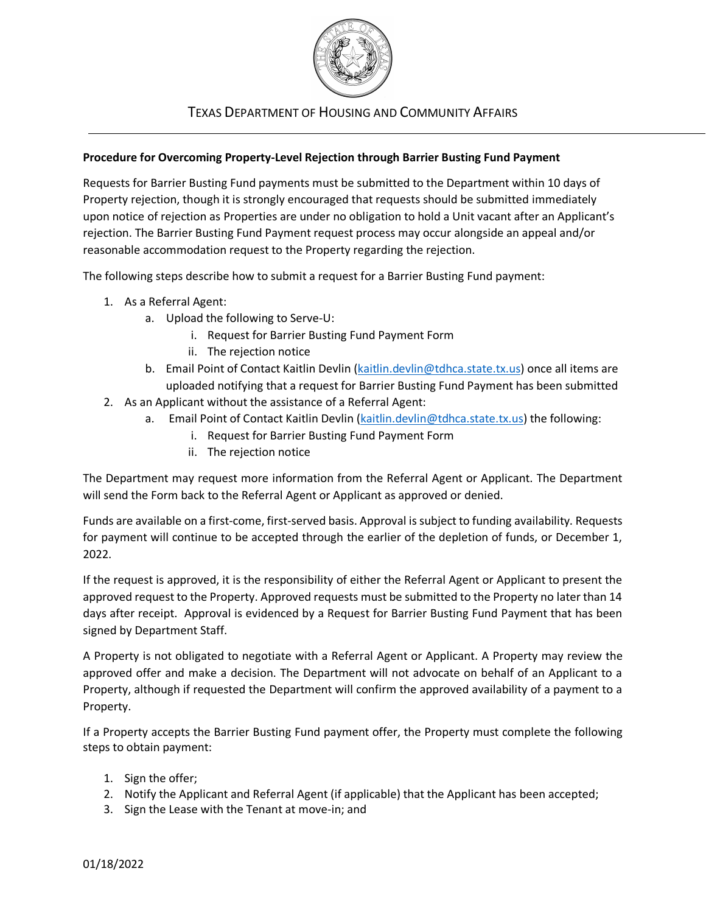

## TEXAS DEPARTMENT OF HOUSING AND COMMUNITY AFFAIRS

#### **Procedure for Overcoming Property-Level Rejection through Barrier Busting Fund Payment**

Requests for Barrier Busting Fund payments must be submitted to the Department within 10 days of Property rejection, though it is strongly encouraged that requests should be submitted immediately upon notice of rejection as Properties are under no obligation to hold a Unit vacant after an Applicant's rejection. The Barrier Busting Fund Payment request process may occur alongside an appeal and/or reasonable accommodation request to the Property regarding the rejection.

The following steps describe how to submit a request for a Barrier Busting Fund payment:

- 1. As a Referral Agent:
	- a. Upload the following to Serve-U:
		- i. Request for Barrier Busting Fund Payment Form
		- ii. The rejection notice
	- b. Email Point of Contact Kaitlin Devlin [\(kaitlin.devlin@tdhca.state.tx.us\)](mailto:kaitlin.devlin@tdhca.state.tx.us) once all items are uploaded notifying that a request for Barrier Busting Fund Payment has been submitted
- 2. As an Applicant without the assistance of a Referral Agent:
	- a. Email Point of Contact Kaitlin Devlin [\(kaitlin.devlin@tdhca.state.tx.us\)](mailto:kaitlin.devlin@tdhca.state.tx.us) the following:
		- i. Request for Barrier Busting Fund Payment Form
		- ii. The rejection notice

The Department may request more information from the Referral Agent or Applicant. The Department will send the Form back to the Referral Agent or Applicant as approved or denied.

Funds are available on a first-come, first-served basis. Approval is subject to funding availability. Requests for payment will continue to be accepted through the earlier of the depletion of funds, or December 1, 2022.

If the request is approved, it is the responsibility of either the Referral Agent or Applicant to present the approved request to the Property. Approved requests must be submitted to the Property no later than 14 days after receipt. Approval is evidenced by a Request for Barrier Busting Fund Payment that has been signed by Department Staff.

A Property is not obligated to negotiate with a Referral Agent or Applicant. A Property may review the approved offer and make a decision. The Department will not advocate on behalf of an Applicant to a Property, although if requested the Department will confirm the approved availability of a payment to a Property.

If a Property accepts the Barrier Busting Fund payment offer, the Property must complete the following steps to obtain payment:

- 1. Sign the offer;
- 2. Notify the Applicant and Referral Agent (if applicable) that the Applicant has been accepted;
- 3. Sign the Lease with the Tenant at move-in; and